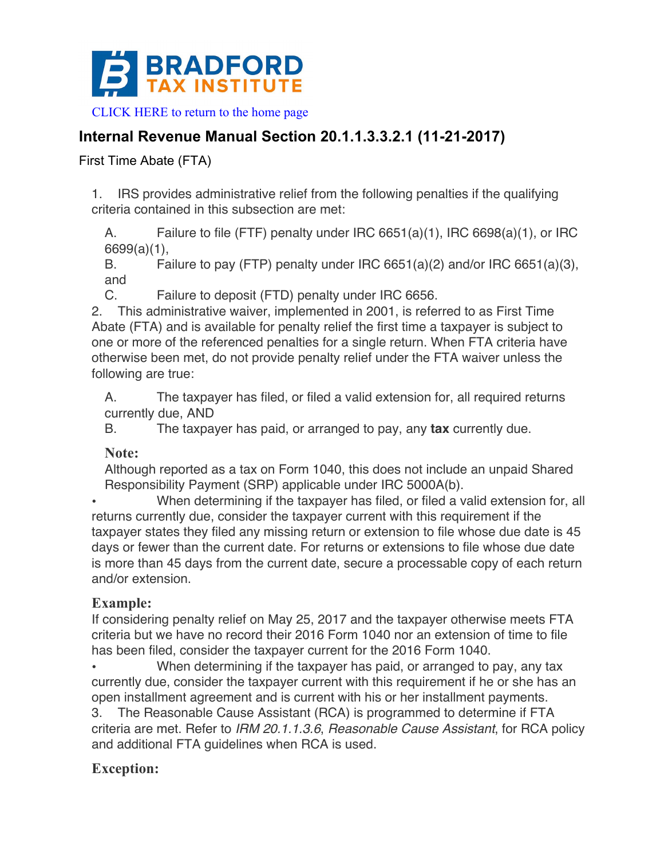

[CLICK HERE to return to the home page](www.bradfordtaxinstitute.com) 

# **Internal Revenue Manual Section 20.1.1.3.3.2.1 (11-21-2017)**

First Time Abate (FTA)

1. IRS provides administrative relief from the following penalties if the qualifying criteria contained in this subsection are met:

A. Failure to file (FTF) penalty under IRC 6651(a)(1), IRC 6698(a)(1), or IRC 6699(a)(1),

B. Failure to pay (FTP) penalty under IRC 6651(a)(2) and/or IRC 6651(a)(3), and

C. Failure to deposit (FTD) penalty under IRC 6656.

2. This administrative waiver, implemented in 2001, is referred to as First Time Abate (FTA) and is available for penalty relief the first time a taxpayer is subject to one or more of the referenced penalties for a single return. When FTA criteria have otherwise been met, do not provide penalty relief under the FTA waiver unless the following are true:

A. The taxpayer has filed, or filed a valid extension for, all required returns currently due, AND

B. The taxpayer has paid, or arranged to pay, any **tax** currently due.

#### **Note:**

Although reported as a tax on Form 1040, this does not include an unpaid Shared Responsibility Payment (SRP) applicable under IRC 5000A(b).

• When determining if the taxpayer has filed, or filed a valid extension for, all returns currently due, consider the taxpayer current with this requirement if the taxpayer states they filed any missing return or extension to file whose due date is 45 days or fewer than the current date. For returns or extensions to file whose due date is more than 45 days from the current date, secure a processable copy of each return and/or extension.

## **Example:**

If considering penalty relief on May 25, 2017 and the taxpayer otherwise meets FTA criteria but we have no record their 2016 Form 1040 nor an extension of time to file has been filed, consider the taxpayer current for the 2016 Form 1040.

• When determining if the taxpayer has paid, or arranged to pay, any tax currently due, consider the taxpayer current with this requirement if he or she has an open installment agreement and is current with his or her installment payments.

3. The Reasonable Cause Assistant (RCA) is programmed to determine if FTA criteria are met. Refer to *IRM 20.1.1.3.6*, *Reasonable Cause Assistant*, for RCA policy and additional FTA guidelines when RCA is used.

## **Exception:**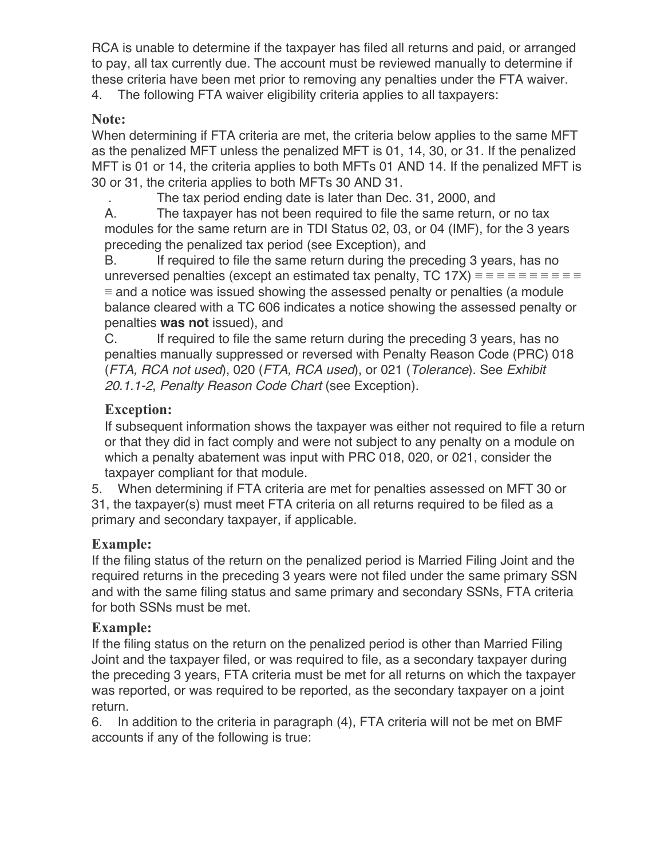RCA is unable to determine if the taxpayer has filed all returns and paid, or arranged to pay, all tax currently due. The account must be reviewed manually to determine if these criteria have been met prior to removing any penalties under the FTA waiver.

4. The following FTA waiver eligibility criteria applies to all taxpayers:

# **Note:**

When determining if FTA criteria are met, the criteria below applies to the same MFT as the penalized MFT unless the penalized MFT is 01, 14, 30, or 31. If the penalized MFT is 01 or 14, the criteria applies to both MFTs 01 AND 14. If the penalized MFT is 30 or 31, the criteria applies to both MFTs 30 AND 31.

. The tax period ending date is later than Dec. 31, 2000, and

A. The taxpayer has not been required to file the same return, or no tax modules for the same return are in TDI Status 02, 03, or 04 (IMF), for the 3 years preceding the penalized tax period (see Exception), and

B. If required to file the same return during the preceding 3 years, has no unreversed penalties (except an estimated tax penalty, TC 17X) ≡ ≡ ≡ ≡ ≡ ≡ ≡ ≡ ≡ ≡ ≡ and a notice was issued showing the assessed penalty or penalties (a module balance cleared with a TC 606 indicates a notice showing the assessed penalty or penalties **was not** issued), and

C. If required to file the same return during the preceding 3 years, has no penalties manually suppressed or reversed with Penalty Reason Code (PRC) 018 (*FTA, RCA not used*), 020 (*FTA, RCA used*), or 021 (*Tolerance*). See *Exhibit 20.1.1-2*, *Penalty Reason Code Chart* (see Exception).

# **Exception:**

If subsequent information shows the taxpayer was either not required to file a return or that they did in fact comply and were not subject to any penalty on a module on which a penalty abatement was input with PRC 018, 020, or 021, consider the taxpayer compliant for that module.

5. When determining if FTA criteria are met for penalties assessed on MFT 30 or 31, the taxpayer(s) must meet FTA criteria on all returns required to be filed as a primary and secondary taxpayer, if applicable.

# **Example:**

If the filing status of the return on the penalized period is Married Filing Joint and the required returns in the preceding 3 years were not filed under the same primary SSN and with the same filing status and same primary and secondary SSNs, FTA criteria for both SSNs must be met.

## **Example:**

If the filing status on the return on the penalized period is other than Married Filing Joint and the taxpayer filed, or was required to file, as a secondary taxpayer during the preceding 3 years, FTA criteria must be met for all returns on which the taxpayer was reported, or was required to be reported, as the secondary taxpayer on a joint return.

6. In addition to the criteria in paragraph (4), FTA criteria will not be met on BMF accounts if any of the following is true: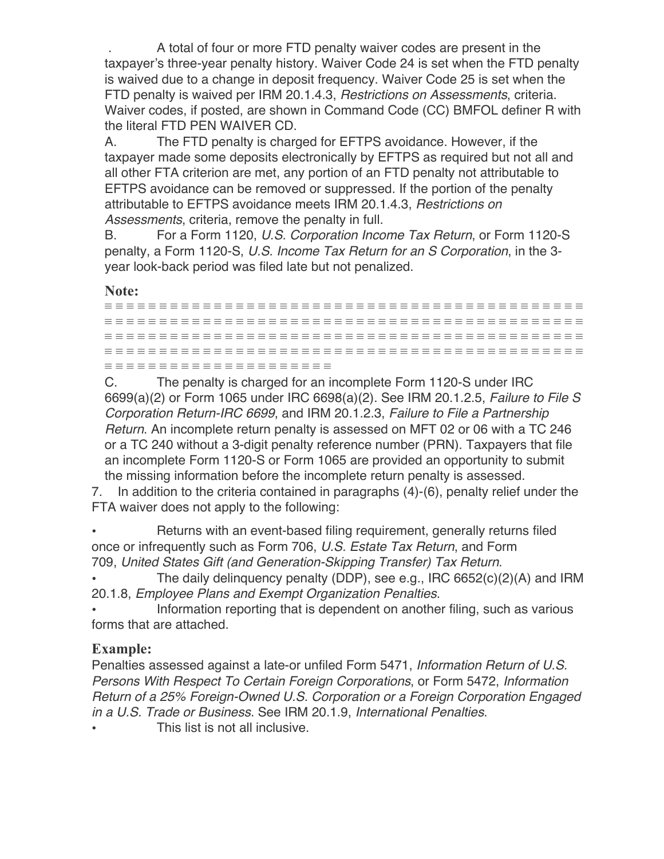. A total of four or more FTD penalty waiver codes are present in the taxpayer's three-year penalty history. Waiver Code 24 is set when the FTD penalty is waived due to a change in deposit frequency. Waiver Code 25 is set when the FTD penalty is waived per IRM 20.1.4.3, *Restrictions on Assessments*, criteria. Waiver codes, if posted, are shown in Command Code (CC) BMFOL definer R with the literal FTD PEN WAIVER CD.

A. The FTD penalty is charged for EFTPS avoidance. However, if the taxpayer made some deposits electronically by EFTPS as required but not all and all other FTA criterion are met, any portion of an FTD penalty not attributable to EFTPS avoidance can be removed or suppressed. If the portion of the penalty attributable to EFTPS avoidance meets IRM 20.1.4.3, *Restrictions on Assessments*, criteria, remove the penalty in full.

B. For a Form 1120, *U.S. Corporation Income Tax Return*, or Form 1120-S penalty, a Form 1120-S, *U.S. Income Tax Return for an S Corporation*, in the 3 year look-back period was filed late but not penalized.

**Note:**

|  | - - - - - - |                        |  |  |  |  |  |  |  |  |  |  |  |  |  |  |  |  |  |  |  |  |
|--|-------------|------------------------|--|--|--|--|--|--|--|--|--|--|--|--|--|--|--|--|--|--|--|--|
|  |             |                        |  |  |  |  |  |  |  |  |  |  |  |  |  |  |  |  |  |  |  |  |
|  |             |                        |  |  |  |  |  |  |  |  |  |  |  |  |  |  |  |  |  |  |  |  |
|  |             |                        |  |  |  |  |  |  |  |  |  |  |  |  |  |  |  |  |  |  |  |  |
|  |             |                        |  |  |  |  |  |  |  |  |  |  |  |  |  |  |  |  |  |  |  |  |
|  |             |                        |  |  |  |  |  |  |  |  |  |  |  |  |  |  |  |  |  |  |  |  |
|  |             |                        |  |  |  |  |  |  |  |  |  |  |  |  |  |  |  |  |  |  |  |  |
|  |             |                        |  |  |  |  |  |  |  |  |  |  |  |  |  |  |  |  |  |  |  |  |
|  |             |                        |  |  |  |  |  |  |  |  |  |  |  |  |  |  |  |  |  |  |  |  |
|  |             |                        |  |  |  |  |  |  |  |  |  |  |  |  |  |  |  |  |  |  |  |  |
|  |             |                        |  |  |  |  |  |  |  |  |  |  |  |  |  |  |  |  |  |  |  |  |
|  |             |                        |  |  |  |  |  |  |  |  |  |  |  |  |  |  |  |  |  |  |  |  |
|  |             |                        |  |  |  |  |  |  |  |  |  |  |  |  |  |  |  |  |  |  |  |  |
|  |             |                        |  |  |  |  |  |  |  |  |  |  |  |  |  |  |  |  |  |  |  |  |
|  |             |                        |  |  |  |  |  |  |  |  |  |  |  |  |  |  |  |  |  |  |  |  |
|  |             |                        |  |  |  |  |  |  |  |  |  |  |  |  |  |  |  |  |  |  |  |  |
|  |             |                        |  |  |  |  |  |  |  |  |  |  |  |  |  |  |  |  |  |  |  |  |
|  |             |                        |  |  |  |  |  |  |  |  |  |  |  |  |  |  |  |  |  |  |  |  |
|  |             |                        |  |  |  |  |  |  |  |  |  |  |  |  |  |  |  |  |  |  |  |  |
|  |             |                        |  |  |  |  |  |  |  |  |  |  |  |  |  |  |  |  |  |  |  |  |
|  |             |                        |  |  |  |  |  |  |  |  |  |  |  |  |  |  |  |  |  |  |  |  |
|  |             |                        |  |  |  |  |  |  |  |  |  |  |  |  |  |  |  |  |  |  |  |  |
|  |             |                        |  |  |  |  |  |  |  |  |  |  |  |  |  |  |  |  |  |  |  |  |
|  |             |                        |  |  |  |  |  |  |  |  |  |  |  |  |  |  |  |  |  |  |  |  |
|  |             |                        |  |  |  |  |  |  |  |  |  |  |  |  |  |  |  |  |  |  |  |  |
|  |             |                        |  |  |  |  |  |  |  |  |  |  |  |  |  |  |  |  |  |  |  |  |
|  |             |                        |  |  |  |  |  |  |  |  |  |  |  |  |  |  |  |  |  |  |  |  |
|  |             |                        |  |  |  |  |  |  |  |  |  |  |  |  |  |  |  |  |  |  |  |  |
|  |             |                        |  |  |  |  |  |  |  |  |  |  |  |  |  |  |  |  |  |  |  |  |
|  |             |                        |  |  |  |  |  |  |  |  |  |  |  |  |  |  |  |  |  |  |  |  |
|  |             | _____________________  |  |  |  |  |  |  |  |  |  |  |  |  |  |  |  |  |  |  |  |  |
|  |             |                        |  |  |  |  |  |  |  |  |  |  |  |  |  |  |  |  |  |  |  |  |
|  |             |                        |  |  |  |  |  |  |  |  |  |  |  |  |  |  |  |  |  |  |  |  |
|  |             | ______________________ |  |  |  |  |  |  |  |  |  |  |  |  |  |  |  |  |  |  |  |  |
|  |             |                        |  |  |  |  |  |  |  |  |  |  |  |  |  |  |  |  |  |  |  |  |
|  |             |                        |  |  |  |  |  |  |  |  |  |  |  |  |  |  |  |  |  |  |  |  |

C. The penalty is charged for an incomplete Form 1120-S under IRC 6699(a)(2) or Form 1065 under IRC 6698(a)(2). See IRM 20.1.2.5, *Failure to File S Corporation Return-IRC 6699*, and IRM 20.1.2.3, *Failure to File a Partnership Return*. An incomplete return penalty is assessed on MFT 02 or 06 with a TC 246 or a TC 240 without a 3-digit penalty reference number (PRN). Taxpayers that file an incomplete Form 1120-S or Form 1065 are provided an opportunity to submit the missing information before the incomplete return penalty is assessed.

7. In addition to the criteria contained in paragraphs (4)-(6), penalty relief under the FTA waiver does not apply to the following:

Returns with an event-based filing requirement, generally returns filed once or infrequently such as Form 706, *U.S. Estate Tax Return*, and Form 709, *United States Gift (and Generation-Skipping Transfer) Tax Return*.

• The daily delinquency penalty (DDP), see e.g., IRC 6652(c)(2)(A) and IRM 20.1.8, *Employee Plans and Exempt Organization Penalties*.

Information reporting that is dependent on another filing, such as various forms that are attached.

## **Example:**

Penalties assessed against a late-or unfiled Form 5471, *Information Return of U.S. Persons With Respect To Certain Foreign Corporations*, or Form 5472, *Information Return of a 25% Foreign-Owned U.S. Corporation or a Foreign Corporation Engaged in a U.S. Trade or Business*. See IRM 20.1.9, *International Penalties*.

This list is not all inclusive.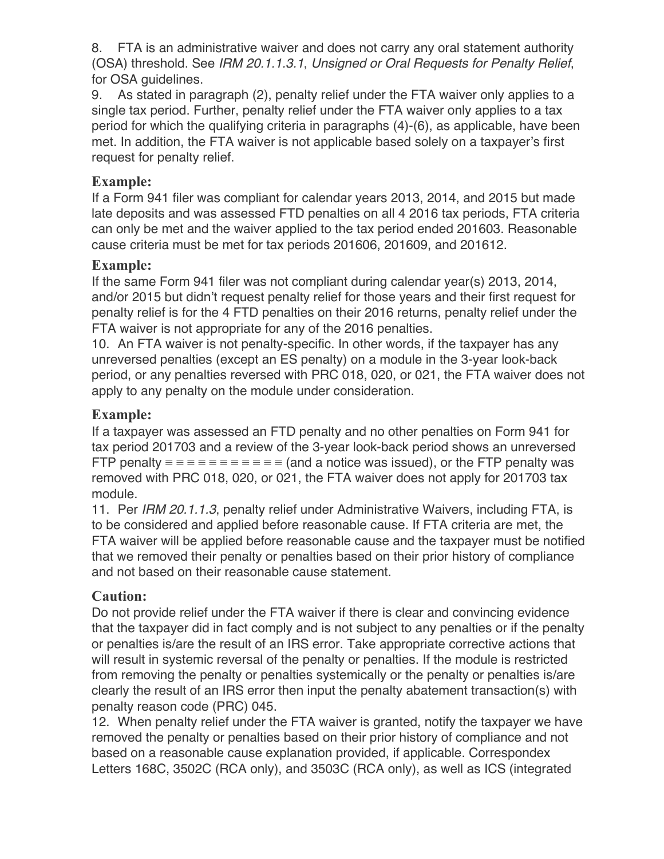8. FTA is an administrative waiver and does not carry any oral statement authority (OSA) threshold. See *IRM 20.1.1.3.1*, *Unsigned or Oral Requests for Penalty Relief*, for OSA guidelines.

9. As stated in paragraph (2), penalty relief under the FTA waiver only applies to a single tax period. Further, penalty relief under the FTA waiver only applies to a tax period for which the qualifying criteria in paragraphs (4)-(6), as applicable, have been met. In addition, the FTA waiver is not applicable based solely on a taxpayer's first request for penalty relief.

## **Example:**

If a Form 941 filer was compliant for calendar years 2013, 2014, and 2015 but made late deposits and was assessed FTD penalties on all 4 2016 tax periods, FTA criteria can only be met and the waiver applied to the tax period ended 201603. Reasonable cause criteria must be met for tax periods 201606, 201609, and 201612.

#### **Example:**

If the same Form 941 filer was not compliant during calendar year(s) 2013, 2014, and/or 2015 but didn't request penalty relief for those years and their first request for penalty relief is for the 4 FTD penalties on their 2016 returns, penalty relief under the FTA waiver is not appropriate for any of the 2016 penalties.

10. An FTA waiver is not penalty-specific. In other words, if the taxpayer has any unreversed penalties (except an ES penalty) on a module in the 3-year look-back period, or any penalties reversed with PRC 018, 020, or 021, the FTA waiver does not apply to any penalty on the module under consideration.

#### **Example:**

If a taxpayer was assessed an FTD penalty and no other penalties on Form 941 for tax period 201703 and a review of the 3-year look-back period shows an unreversed FTP penalty  $\equiv \equiv \equiv \equiv \equiv \equiv \equiv \equiv \equiv \equiv$  (and a notice was issued), or the FTP penalty was removed with PRC 018, 020, or 021, the FTA waiver does not apply for 201703 tax module.

11. Per *IRM 20.1.1.3*, penalty relief under Administrative Waivers, including FTA, is to be considered and applied before reasonable cause. If FTA criteria are met, the FTA waiver will be applied before reasonable cause and the taxpayer must be notified that we removed their penalty or penalties based on their prior history of compliance and not based on their reasonable cause statement.

## **Caution:**

Do not provide relief under the FTA waiver if there is clear and convincing evidence that the taxpayer did in fact comply and is not subject to any penalties or if the penalty or penalties is/are the result of an IRS error. Take appropriate corrective actions that will result in systemic reversal of the penalty or penalties. If the module is restricted from removing the penalty or penalties systemically or the penalty or penalties is/are clearly the result of an IRS error then input the penalty abatement transaction(s) with penalty reason code (PRC) 045.

12. When penalty relief under the FTA waiver is granted, notify the taxpayer we have removed the penalty or penalties based on their prior history of compliance and not based on a reasonable cause explanation provided, if applicable. Correspondex Letters 168C, 3502C (RCA only), and 3503C (RCA only), as well as ICS (integrated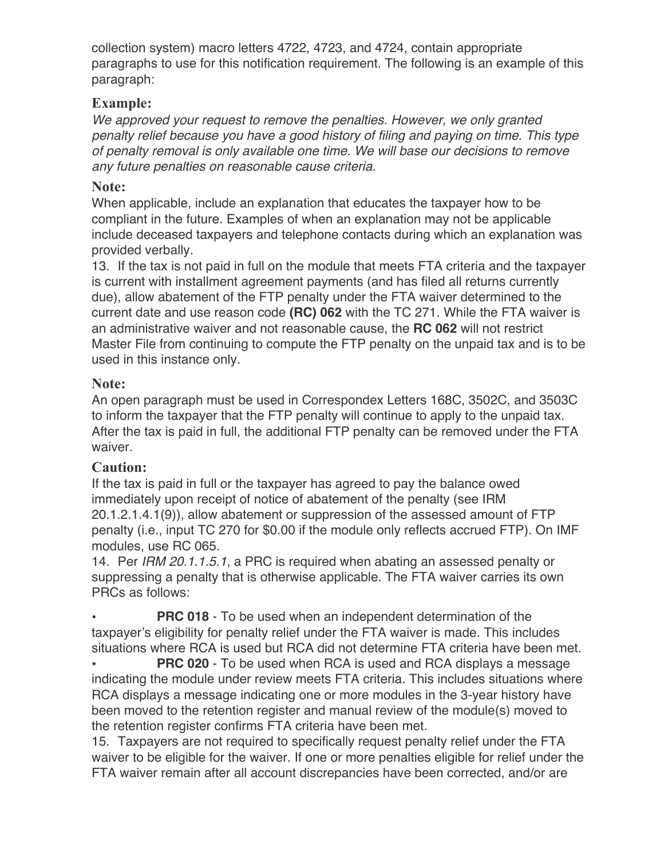collection system) macro letters 4722, 4723, and 4724, contain appropriate paragraphs to use for this notification requirement. The following is an example of this paragraph:

## **Example:**

*We approved your request to remove the penalties. However, we only granted penalty relief because you have a good history of filing and paying on time. This type of penalty removal is only available one time. We will base our decisions to remove any future penalties on reasonable cause criteria.*

#### **Note:**

When applicable, include an explanation that educates the taxpayer how to be compliant in the future. Examples of when an explanation may not be applicable include deceased taxpayers and telephone contacts during which an explanation was provided verbally.

13. If the tax is not paid in full on the module that meets FTA criteria and the taxpayer is current with installment agreement payments (and has filed all returns currently due), allow abatement of the FTP penalty under the FTA waiver determined to the current date and use reason code **(RC) 062** with the TC 271. While the FTA waiver is an administrative waiver and not reasonable cause, the **RC 062** will not restrict Master File from continuing to compute the FTP penalty on the unpaid tax and is to be used in this instance only.

#### **Note:**

An open paragraph must be used in Correspondex Letters 168C, 3502C, and 3503C to inform the taxpayer that the FTP penalty will continue to apply to the unpaid tax. After the tax is paid in full, the additional FTP penalty can be removed under the FTA waiver.

## **Caution:**

If the tax is paid in full or the taxpayer has agreed to pay the balance owed immediately upon receipt of notice of abatement of the penalty (see IRM 20.1.2.1.4.1(9)), allow abatement or suppression of the assessed amount of FTP penalty (i.e., input TC 270 for \$0.00 if the module only reflects accrued FTP). On IMF modules, use RC 065.

14. Per *IRM 20.1.1.5.1*, a PRC is required when abating an assessed penalty or suppressing a penalty that is otherwise applicable. The FTA waiver carries its own PRCs as follows:

**PRC 018** - To be used when an independent determination of the taxpayer's eligibility for penalty relief under the FTA waiver is made. This includes situations where RCA is used but RCA did not determine FTA criteria have been met.

**PRC 020** - To be used when RCA is used and RCA displays a message indicating the module under review meets FTA criteria. This includes situations where RCA displays a message indicating one or more modules in the 3-year history have been moved to the retention register and manual review of the module(s) moved to the retention register confirms FTA criteria have been met.

15. Taxpayers are not required to specifically request penalty relief under the FTA waiver to be eligible for the waiver. If one or more penalties eligible for relief under the FTA waiver remain after all account discrepancies have been corrected, and/or are